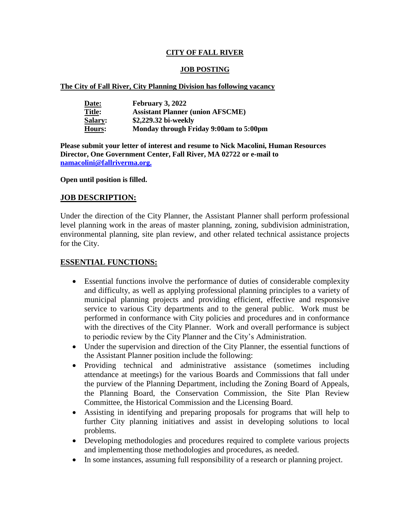## **CITY OF FALL RIVER**

## **JOB POSTING**

#### **The City of Fall River, City Planning Division has following vacancy**

| Date:          | February 3, 2022                        |
|----------------|-----------------------------------------|
| <b>Title:</b>  | <b>Assistant Planner (union AFSCME)</b> |
| <b>Salary:</b> | \$2,229.32 bi-weekly                    |
| Hours:         | Monday through Friday 9:00am to 5:00pm  |

**Please submit your letter of interest and resume to Nick Macolini, Human Resources Director, One Government Center, Fall River, MA 02722 or e-mail to [namacolini@fallriverma.org.](mailto:namacolini@fallriverma.org.)**

#### **Open until position is filled.**

### **JOB DESCRIPTION:**

Under the direction of the City Planner, the Assistant Planner shall perform professional level planning work in the areas of master planning, zoning, subdivision administration, environmental planning, site plan review, and other related technical assistance projects for the City.

## **ESSENTIAL FUNCTIONS:**

- Essential functions involve the performance of duties of considerable complexity and difficulty, as well as applying professional planning principles to a variety of municipal planning projects and providing efficient, effective and responsive service to various City departments and to the general public. Work must be performed in conformance with City policies and procedures and in conformance with the directives of the City Planner. Work and overall performance is subject to periodic review by the City Planner and the City's Administration.
- Under the supervision and direction of the City Planner, the essential functions of the Assistant Planner position include the following:
- Providing technical and administrative assistance (sometimes including attendance at meetings) for the various Boards and Commissions that fall under the purview of the Planning Department, including the Zoning Board of Appeals, the Planning Board, the Conservation Commission, the Site Plan Review Committee, the Historical Commission and the Licensing Board.
- Assisting in identifying and preparing proposals for programs that will help to further City planning initiatives and assist in developing solutions to local problems.
- Developing methodologies and procedures required to complete various projects and implementing those methodologies and procedures, as needed.
- In some instances, assuming full responsibility of a research or planning project.